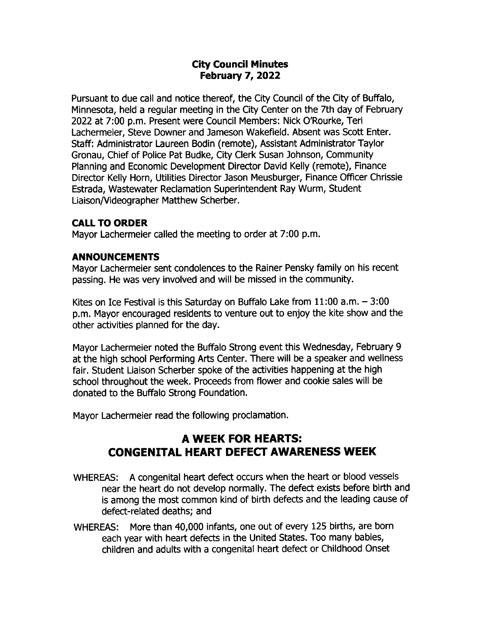## City Council Minutes February 7, 2022

Pursuant to due call and notice thereof, the City Council of the City of Buffalo, Minnesota, held a regular meeting in the City Center on the 7th day of February 2022 at 7:00 p.m. Present were Council Members: Nick O'Rourke, Teri Lachermeier, Steve Downer and Jameson Wakefield. Absent was Scott Enter. Staff: Administrator Laureen Bodin ( remote), Assistant Administrator Taylor Gronau, Chief of Police Pat Budke, City Clerk Susan Johnson, Community Planning and Economic Development Director David Kelly ( remote), Finance Director Kelly Horn, Utilities Director Jason Meusburger, Finance Officer Chrissie Estrada, Wastewater Reclamation Superintendent Ray Wurm, Student Liaison/ Videographer Matthew Scherber.

## CALL TO ORDER

Mayor Lachermeier called the meeting to order at 7:00 p.m.

## ANNOUNCEMENTS

Mayor Lachermeier sent condolences to the Rainer Pensky family on his recent passing. He was very involved and will be missed in the community.

Kites on Ice Festival is this Saturday on Buffalo Lake from  $11:00$  a.m.  $-3:00$ p. m. Mayor encouraged residents to venture out to enjoy the kite show and the other activities planned for the day.

Mayor Lachermeier noted the Buffalo Strong event this Wednesday, February 9 at the high school Performing Arts Center. There will be a speaker and wellness fair. Student Liaison Scherber spoke of the activities happening at the high school throughout the week. Proceeds from flower and cookie sales will be donated to the Buffalo Strong Foundation.

Mayor Lachermeier read the following proclamation.

# A WEEK FOR HEARTS: CONGENITAL HEART DEFECT AWARENESS WEEK

- WHEREAS: A congenital heart defect occurs when the heart or blood vessels near the heart do not develop normally. The defect exists before birth and is among the most common kind of birth defects and the leading cause of defect-related deaths; and
- WHEREAS: More than 40,000 infants, one out of every 125 births, are born each year with heart defects in the United States. Too many babies, children and adults with <sup>a</sup> congenital heart defect or Childhood Onset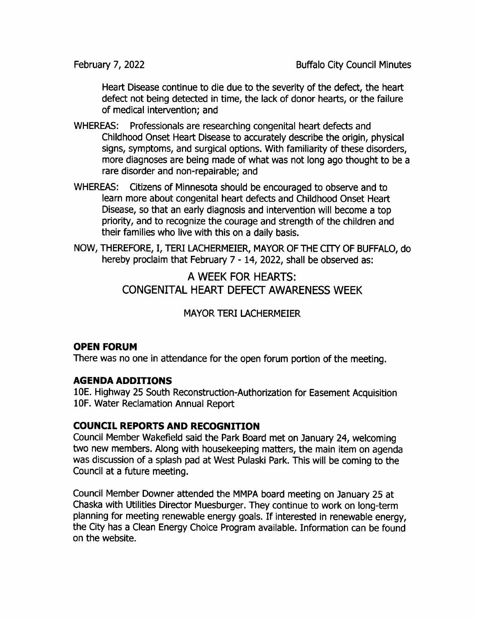Heart Disease continue to die due to the severity of the defect, the heart defect not being detected in time, the lack of donor hearts, or the failure of medical intervention; and

- WHEREAS: Professionals are researching congenital heart defects and Childhood Onset Heart Disease to accurately describe the origin, physical signs, symptoms, and surgical options. With familiarity of these disorders, more diagnoses are being made of what was not long ago thought to be a rare disorder and non-repairable; and
- WHEREAS: Citizens of Minnesota should be encouraged to observe and to learn more about congenital heart defects and Childhood Onset Heart Disease, so that an early diagnosis and intervention will become a top priority, and to recognize the courage and strength of the children and their families who live with this on a daily basis.
- NOW, THEREFORE, I, TERI LACHERMEIER, MAYOR OF THE CITY OF BUFFALO, do hereby proclaim that February 7 - 14, 2022, shall be observed as:

A WEEK FOR HEARTS: CONGENITAL HEART DEFECT AWARENESS WEEK

MAYOR TERI LACHERMEIER

## OPEN FORUM

There was no one in attendance for the open forum portion of the meeting.

#### AGENDA ADDITIONS

10E. Highway 25 South Reconstruction- Authorization for Easement Acquisition 10F. Water Reclamation Annual Report

## COUNCIL REPORTS AND RECOGNITION

Council Member Wakefield said the Park Board met on ) anuary 24, welcoming two new members. Along with housekeeping matters, the main item on agenda was discussion of a splash pad at West Pulaski Park. This will be coming to the Council at a future meeting.

Council Member Downer attended the MMPA board meeting on January 25 at Chaska with Utilities Director Muesburger. They continue to work on long-term planning for meeting renewable energy goals. If interested in renewable energy, the City has a Clean Energy Choice Program available. Information can be found on the website.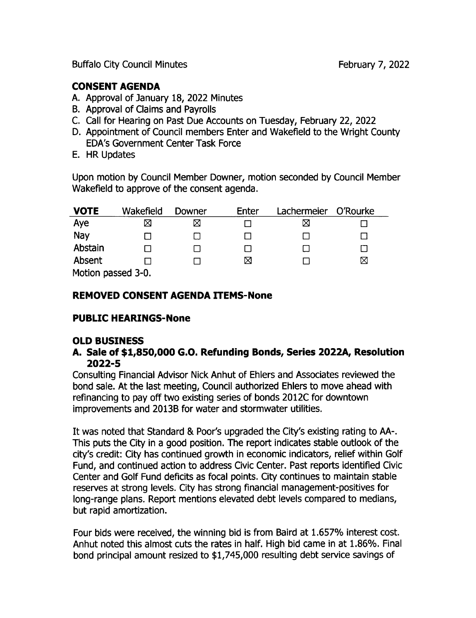## CONSENT AGENDA

- A. Approval of January 18, 2022 Minutes
- B. Approval of Claims and Payrolls
- C. Call for Hearing on Past Due Accounts on Tuesday, February 22, 2022
- D. Appointment of Council members Enter and Wakefield to the Wright County EDA's Government Center Task Force
- E. HR Updates

Upon motion by Council Member powner, motion seconded by Council Member Wakefield to approve of the consent agenda.

| <b>VOTE</b>        | Wakefield | Downer | Enter | Lachermeier | O'Rourke |  |
|--------------------|-----------|--------|-------|-------------|----------|--|
| Aye                | Χ         |        |       | ⊠           |          |  |
| Nay                |           |        |       |             |          |  |
| Abstain            |           |        |       |             |          |  |
| Absent             |           |        | ⊠     |             | ⊠        |  |
| Motion passed 3-0. |           |        |       |             |          |  |

Motion passed 3- 0.

## REMOVED CONSENT AGENDA ITEMS-None

## PUBLIC HEARINGS-None

## OLD BUSINESS

#### A. Sale of \$1,850,000 G.O. Refunding Bonds, Series 2022A, Resolution 2022-5

Consulting Financial Advisor Nick Anhut of Ehlers and Associates reviewed the bond sale. At the last meeting, Council authorized Ehlers to move ahead with refinancing to pay off two existing series of bonds 2012C for downtown improvements and 2013B for water and stormwater utilities.

It was noted that Standard & Poor's upgraded the City's existing rating to AA-. This puts the City in a good position. The report indicates stable outlook of the city's credit: City has continued growth in economic indicators, relief within Golf Fund, and continued action to address Civic Center. Past reports identified Civic Center and Golf Fund deficits as focal points. City continues to maintain stable reserves at strong levels. City has strong financial management-positives for long-range plans. Report mentions elevated debt levels compared to medians, but rapid amortization.

Four bids were received, the winning bid is from Baird at 1. 657% interest cost. Anhut noted this almost cuts the rates in half. High bid came in at 1. 86%. Final bond principal amount resized to \$1,745,000 resulting debt service savings of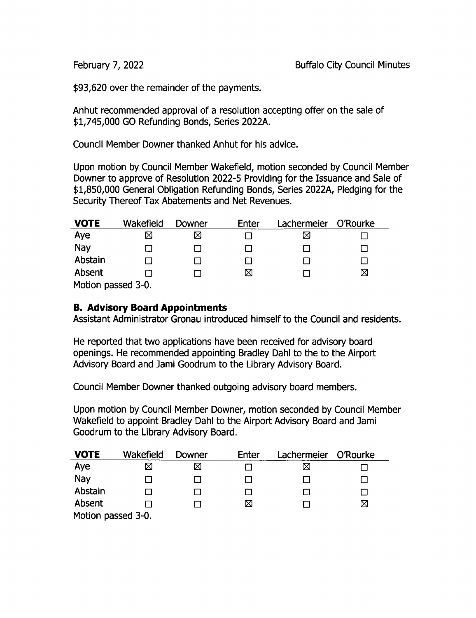93,620 over the remainder of the payments.

Anhut recommended approval of a resolution accepting offer on the sale of 1, 745, 000 GO Refunding Bonds, Series 2022A.

Council Member Downer thanked Anhut for his advice.

Upon motion by Council Member Wakefield, motion seconded by Council Member Downer to approve of Resolution 2022-5 Providing for the Issuance and Sale of 1, 850, 000 General Obligation Refunding Bonds, Series 2022A, Pledging for the Security Thereof Tax Abatements and Net Revenues.

| <b>VOTE</b>       | Wakefield | Downer | Enter | Lachermeier | O'Rourke |  |  |
|-------------------|-----------|--------|-------|-------------|----------|--|--|
| Aye               | ⊠         | ⊠      |       |             |          |  |  |
| Nay               |           |        |       |             |          |  |  |
| Abstain           |           |        |       |             |          |  |  |
| Absent            |           |        | ⊠     |             | ⊠        |  |  |
| Motion nassed 3-0 |           |        |       |             |          |  |  |

Motion passed 3- 0.

## B. Advisory Board Appointments

Assistant Administrator Gronau introduced himself to the Council and residents.

He reported that two applications have been received for advisory board openings. He recommended appointing Bradley Dahl to the to the Airport Advisory Board and Jami Goodrum to the Library Advisory Board.

Council Member Downer thanked outgoing advisory board members.

Upon motion by Council Member Downer, motion seconded by Council Member Wakefield to appoint Bradley Dahl to the Airport Advisory Board and Jami Goodrum to the Library Advisory Board.

| <b>VOTE</b>        | Wakefield | Downer | Enter | Lachermeier O'Rourke |   |  |
|--------------------|-----------|--------|-------|----------------------|---|--|
| Aye                | X         | Χ      |       | ⋉                    |   |  |
| Nay                |           |        |       |                      |   |  |
| Abstain            |           |        |       |                      |   |  |
| Absent             |           |        | ⊠     |                      | ⊠ |  |
| Motion passed 3-0. |           |        |       |                      |   |  |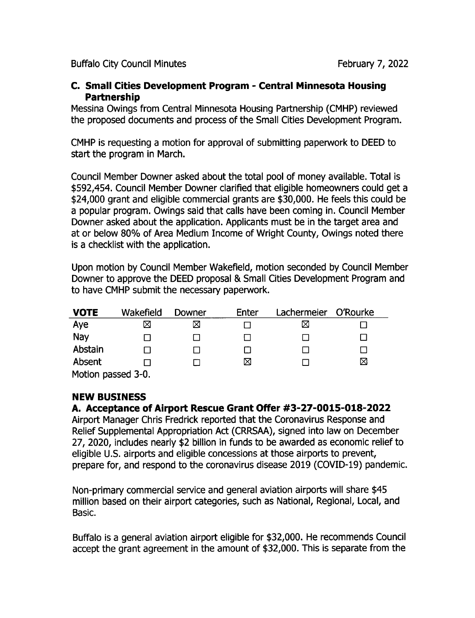#### C. Small Cities Development Program - Central Minnesota Housing Partnership

Messina Owings from Central Minnesota Housing Partnership ( CMHP) reviewed the proposed documents and process of the Small Cities Development Program.

CMHP is requesting a motion for approval of submitting paperwork to DEED to start the program in March.

Council Member powner asked about the total pool of money available. Total is \$592,454. Council Member Downer clarified that eligible homeowners could get a 24, 000 grant and eligible commercial grants are \$ 30,000. He feels this could be a popular program. Owings said that calls have been coming in. Council Member Downer asked about the application. Applicants must be in the target area and at or below 80% of Area Medium Income of Wright County, Owings noted there is a checklist with the application.

Upon motion by Council Member Wakefield, motion seconded by Council Member Downer to approve the DEED proposal & Small Cities Development Program and to have CMHP submit the necessary paperwork.

| <b>VOTE</b>        | Wakefield | Downer | Enter | Lachermeier | O'Rourke |  |
|--------------------|-----------|--------|-------|-------------|----------|--|
| Aye                | ⊠         | ⋈      |       |             |          |  |
| Nay                |           |        |       |             |          |  |
| Abstain            |           |        |       |             |          |  |
| Absent             |           |        | ⊠     |             | ⊠        |  |
| Motion passed 3-0. |           |        |       |             |          |  |

## NEW BUSINESS

## A. Acceptance of Airport Rescue Grant Offer # 3- 27- 0015- 018- 2022

Airport Manager Chris Fredrick reported that the Coronavirus Response and Relief Supplemental Appropriation Act ( CRRSAA), signed into law on December 27, 2020, includes nearly \$2 billion in funds to be awarded as economic relief to eligible U.S. airports and eligible concessions at those airports to prevent, prepare for, and respond to the coronavirus disease 2019 (COVID-19) pandemic.

Non-primary commercial service and general aviation airports will share \$45 million based on their airport categories, such as National, Regional, Local, and Basic.

BufFalo is <sup>a</sup> general aviation airport eligible for \$32, 000. He recommends Council accept the grant agreement in the amount of \$32, 000. This is separate from the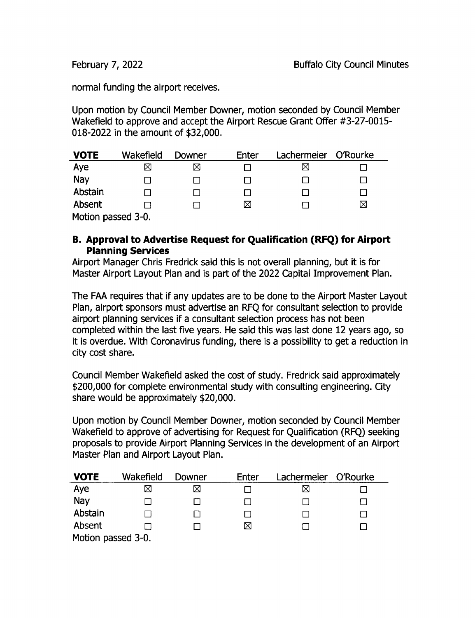normal funding the airport receives.

Upon motion by Council Member Downer, motion seconded by Council Member Wakefield to approve and accept the Airport Rescue Grant Offer #3-27-0015-018-2022 in the amount of \$32,000.

| <b>VOTE</b>        | Wakefield | Downer | Enter | Lachermeier | O'Rourke |  |
|--------------------|-----------|--------|-------|-------------|----------|--|
| Aye                | X         | ⊠      |       | ⊠           |          |  |
| Nay                |           |        |       |             |          |  |
| Abstain            |           |        |       |             |          |  |
| Absent             |           |        | ⊠     |             | ⊠        |  |
| Motion passed 3-0. |           |        |       |             |          |  |

## B. Approval to Advertise Request for Qualification ( RFQ) for Airport Planning Services

Airport Manager Chris Fredrick said this is not overall planning, but it is for Master Airport Layout Plan and is part of the 2022 Capital Improvement Plan.

The FAA requires that if any updates are to be done to the Airport Master Layout Plan, airport sponsors must advertise an RFQ for consultant selection to provide airport planning services if a consultant selection process has not been completed within the last five years. He said this was last done 12 years ago, so it is overdue. With Coronavirus funding, there is a possibility to get a reduction in city cost share.

Council Member Wakefield asked the cost of study. Fredrick said approximately 200, 000 for complete environmental study with consulting engineering. City share would be approximately \$20,000.

Upon motion by Council Member Downer, motion seconded by Council Member Wakefield to approve of advertising for Request for Qualification ( RFQ) seeking proposals to provide Airport Planning Services in the development of an Airport Master Plan and Airport Layout Plan.

| <b>VOTE</b>        | Wakefield | Downer | Enter | Lachermeier | O'Rourke |  |
|--------------------|-----------|--------|-------|-------------|----------|--|
| Aye                | ⊠         |        |       | ⊠           |          |  |
| Nay                |           |        |       |             |          |  |
| Abstain            |           |        |       |             |          |  |
| Absent             |           |        | ⊠     |             |          |  |
| Motion passed 3-0. |           |        |       |             |          |  |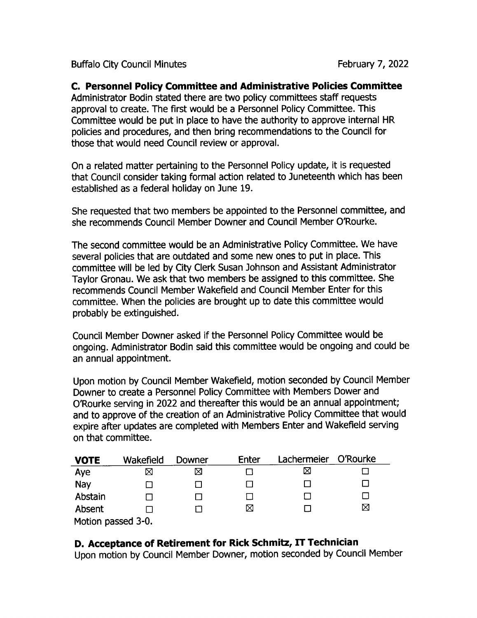## C. Personnel Policy Committee and Administrative Policies Committee

Administrator Bodin stated there are two policy committees staff requests approval to create. The first would be a Personnel Policy Committee. This Committee would be put in place to have the authority to approve internal HR policies and procedures, and then bring recommendations to the Council for those that would need Council review or approval.

On a related matter pertaining to the Personnel Policy update, it is requested that Council consider taking formal action related to Juneteenth which has been established as a federal holiday on June 19.

She requested that two members be appointed to the Personnel committee, and she recommends Council Member powner and Council Member 0'Rourke.

The second committee would be an Administrative Policy Committee. We have several policies that are outdated and some new ones to put in place. This committee will be led by City Clerk Susan ] ohnson and Assistant Administrator Taylor Gronau. We ask that two members be assigned to this committee. She recommends Council Member Wakefield and Council Member Enter for this committee. When the policies are brought up to date this committee would probably be extinguished.

Council Member powner asked if the Personnel Policy Committee would be ongoing. Administrator Bodin said this committee would be ongoing and could be an annual appointment.

Upon motion by Council Member Wakefield, motion seconded by Council Member Downer to create a Personnel Policy Committee with Members Dower and 0'Rourke serving in 2022 and thereafter this would be an annual appointment; and to approve of the creation of an Administrative Policy Committee that would expire after updates are completed with Members Enter and Wakefield serving on that committee.

| <b>VOTE</b>        | Wakefield | Downer | Enter | Lachermeier | O'Rourke |  |  |
|--------------------|-----------|--------|-------|-------------|----------|--|--|
| Aye                | ⊠         | ⊠      |       |             |          |  |  |
| Nay                |           |        |       |             |          |  |  |
| Abstain            |           |        |       |             | $\Box$   |  |  |
| Absent             |           |        | ⊠     |             | ⊠        |  |  |
| Motion passed 3-0. |           |        |       |             |          |  |  |

## D. Acceptance of Retirement for Rick Schmitz, IT Technician

Upon motion by Council Member powner, motion seconded by Council Member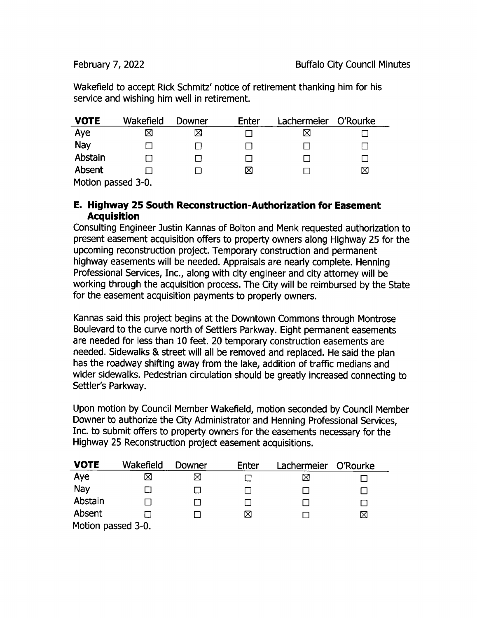Wakefield to accept Rick Schmitz' notice of retirement thanking him for his service and wishing him well in retirement.

| <b>VOTE</b>       | Wakefield | Downer | Enter | Lachermeier | O'Rourke |
|-------------------|-----------|--------|-------|-------------|----------|
| Aye               | ⊠         | ⊠      |       | ⋈           |          |
| Nay               |           |        |       |             |          |
| Abstain           |           |        |       |             |          |
| Absent            |           |        | ⊠     |             | ⊠        |
| Motion nacced 3-0 |           |        |       |             |          |

Motion passed 3-0.

## E. Highway 25 South Reconstruction- Authorization for Easement **Acquisition**

Consulting Engineer Justin Kannas of Bolton and Menk requested authorization to present easement acquisition offers to property owners along Highway 25 for the upcoming reconstruction project. Temporary construction and permanent highway easements will be needed. Appraisals are nearly complete. Henning Professional Services, Inc., along with city engineer and city attorney will be working through the acquisition process. The City will be reimbursed by the State for the easement acquisition payments to properly owners.

Kannas said this project begins at the Downtown Commons through Montrose Boulevard to the curve north of Settlers Parkway. Eight permanent easements are needed for less than 10 feet. 20 temporary construction easements are needed. Sidewalks & street will all be removed and replaced. He said the plan has the roadway shifting away from the lake, addition of traffic medians and wider sidewalks. Pedestrian circulation should be greatly increased connecting to Settler's Parkway.

Upon motion by Council Member Wakefield, motion seconded by Council Member Downer to authorize the City Administrator and Henning Professional Services, Inc. to submit offers to property owners for the easements necessary for the Highway 25 Reconstruction project easement acquisitions.

| <b>VOTE</b>        | Wakefield | Downer | Enter | Lachermeier | O'Rourke |  |
|--------------------|-----------|--------|-------|-------------|----------|--|
| Aye                | ⊠         |        |       | ⊠           |          |  |
| Nay                |           |        |       |             |          |  |
| Abstain            |           |        |       |             |          |  |
| Absent             |           |        | ⊠     |             | ⊠        |  |
| Motion passed 3-0. |           |        |       |             |          |  |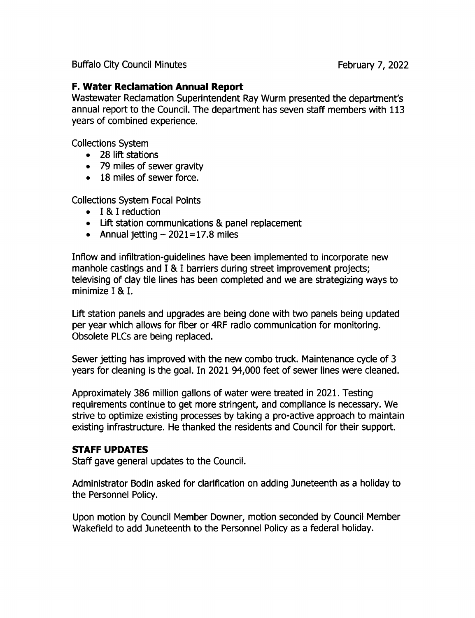## F. Water Reclamation Annual Report

Wastewater Reclamation Superintendent Ray Wurm presented the department's annual report to the Council. The department has seven staff members with 113 years of combined experience.

Collections System

- 28 lift stations
- 79 miles of sewer gravity
- 18 miles of sewer force.

Collections System Focal Points

- I & I reduction
- Lift station communications & panel replacement
- Annual jetting  $-2021=17.8$  miles

Inflow and infiltration-guidelines have been implemented to incorporate new manhole castings and I & I barriers during street improvement projects; televising of clay tile lines has been completed and we are strategizing ways to minimize I & I.

Lift station panels and upgrades are being done with two panels being updated per year which allows for fiber or 4RF radio communication for monitoring. Obsolete PLCs are being replaced.

Sewer jetting has improved with the new combo truck. Maintenance cycle of 3 years for cleaning is the goal. In 2021 94,000 feet of sewer lines were cleaned.

Approximately 386 million gallons of water were treated in 2021. Testing requirements continue to get more stringent, and compliance is necessary. We strive to optimize existing processes by taking a pro-active approach to maintain existing infrastructure. He thanked the residents and Council for their support.

#### STAFF UPDATES

Staff gave general updates to the Council.

Administrator Bodin asked for clarification on adding Juneteenth as a holiday to the Personnel Policy.

Upon motion by Council Member powner, motion seconded by Council Member Wakefield to add Juneteenth to the Personnel Policy as a federal holiday.